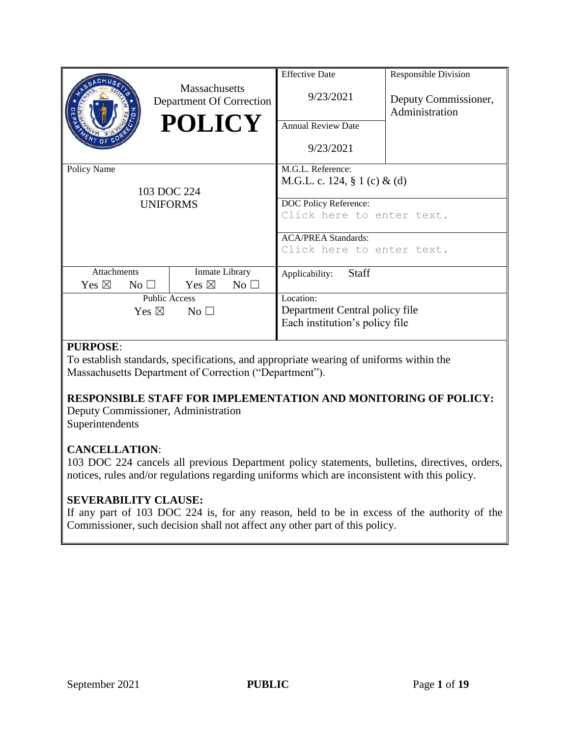|                                    |              | <b>Massachusetts</b><br>Department Of Correction<br><b>POLICY</b> | <b>Effective Date</b><br>9/23/2021<br><b>Annual Review Date</b><br>9/23/2021 | <b>Responsible Division</b><br>Deputy Commissioner,<br>Administration |  |
|------------------------------------|--------------|-------------------------------------------------------------------|------------------------------------------------------------------------------|-----------------------------------------------------------------------|--|
| Policy Name                        |              |                                                                   | M.G.L. Reference:                                                            |                                                                       |  |
| 103 DOC 224<br><b>UNIFORMS</b>     |              |                                                                   | M.G.L. c. 124, § 1 (c) & (d)                                                 |                                                                       |  |
|                                    |              |                                                                   | DOC Policy Reference:                                                        |                                                                       |  |
|                                    |              |                                                                   | Click here to enter text.                                                    |                                                                       |  |
|                                    |              |                                                                   | <b>ACA/PREA Standards:</b>                                                   |                                                                       |  |
|                                    |              |                                                                   | Click here to enter text.                                                    |                                                                       |  |
| <b>Attachments</b>                 |              | Inmate Library                                                    | <b>Staff</b><br>Applicability:                                               |                                                                       |  |
| Yes $\boxtimes$                    | $No \square$ | Yes $\boxtimes$<br>$No$ $\square$                                 |                                                                              |                                                                       |  |
| <b>Public Access</b>               |              |                                                                   | Location:                                                                    |                                                                       |  |
| Yes $\boxtimes$<br>No <sub>1</sub> |              |                                                                   | Department Central policy file                                               |                                                                       |  |
|                                    |              |                                                                   | Each institution's policy file                                               |                                                                       |  |
|                                    |              |                                                                   |                                                                              |                                                                       |  |

#### **PURPOSE**:

To establish standards, specifications, and appropriate wearing of uniforms within the Massachusetts Department of Correction ("Department").

#### **RESPONSIBLE STAFF FOR IMPLEMENTATION AND MONITORING OF POLICY:**

Deputy Commissioner, Administration Superintendents

#### **CANCELLATION**:

103 DOC 224 cancels all previous Department policy statements, bulletins, directives, orders, notices, rules and/or regulations regarding uniforms which are inconsistent with this policy.

#### **SEVERABILITY CLAUSE:**

If any part of 103 DOC 224 is, for any reason, held to be in excess of the authority of the Commissioner, such decision shall not affect any other part of this policy.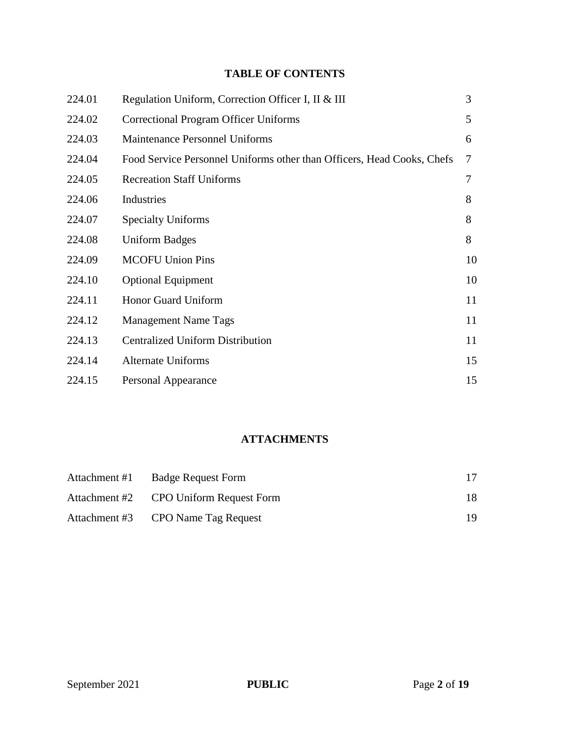#### **TABLE OF CONTENTS**

| 224.01 | Regulation Uniform, Correction Officer I, II & III                     | 3  |
|--------|------------------------------------------------------------------------|----|
| 224.02 | Correctional Program Officer Uniforms                                  | 5  |
| 224.03 | <b>Maintenance Personnel Uniforms</b>                                  | 6  |
| 224.04 | Food Service Personnel Uniforms other than Officers, Head Cooks, Chefs | 7  |
| 224.05 | <b>Recreation Staff Uniforms</b>                                       | 7  |
| 224.06 | Industries                                                             | 8  |
| 224.07 | <b>Specialty Uniforms</b>                                              | 8  |
| 224.08 | <b>Uniform Badges</b>                                                  | 8  |
| 224.09 | <b>MCOFU Union Pins</b>                                                | 10 |
| 224.10 | <b>Optional Equipment</b>                                              | 10 |
| 224.11 | Honor Guard Uniform                                                    | 11 |
| 224.12 | <b>Management Name Tags</b>                                            | 11 |
| 224.13 | <b>Centralized Uniform Distribution</b>                                | 11 |
| 224.14 | <b>Alternate Uniforms</b>                                              | 15 |
| 224.15 | Personal Appearance                                                    | 15 |

#### **ATTACHMENTS**

| Attachment #1 | <b>Badge Request Form</b>              |     |
|---------------|----------------------------------------|-----|
|               | Attachment #2 CPO Uniform Request Form | 18  |
|               | Attachment #3 CPO Name Tag Request     | 19. |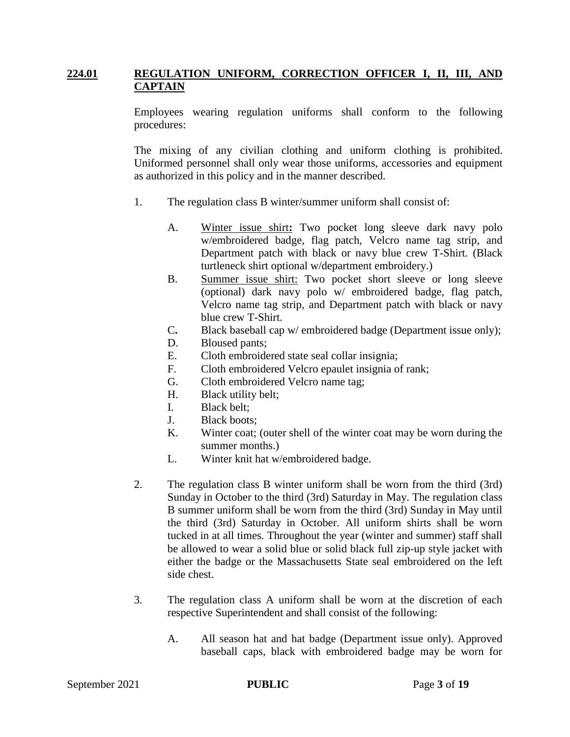#### **224.01 REGULATION UNIFORM, CORRECTION OFFICER I, II, III, AND CAPTAIN**

Employees wearing regulation uniforms shall conform to the following procedures:

The mixing of any civilian clothing and uniform clothing is prohibited. Uniformed personnel shall only wear those uniforms, accessories and equipment as authorized in this policy and in the manner described.

- 1. The regulation class B winter/summer uniform shall consist of:
	- A. Winter issue shirt**:** Two pocket long sleeve dark navy polo w/embroidered badge, flag patch, Velcro name tag strip, and Department patch with black or navy blue crew T-Shirt. (Black turtleneck shirt optional w/department embroidery.)
	- B. Summer issue shirt: Two pocket short sleeve or long sleeve (optional) dark navy polo w/ embroidered badge, flag patch, Velcro name tag strip, and Department patch with black or navy blue crew T-Shirt.
	- C**.** Black baseball cap w/ embroidered badge (Department issue only);
	- D. Bloused pants;
	- E. Cloth embroidered state seal collar insignia;
	- F. Cloth embroidered Velcro epaulet insignia of rank;
	- G. Cloth embroidered Velcro name tag;
	- H. Black utility belt;
	- I. Black belt;
	- J. Black boots;
	- K. Winter coat; (outer shell of the winter coat may be worn during the summer months.)
	- L. Winter knit hat w/embroidered badge.
- 2. The regulation class B winter uniform shall be worn from the third (3rd) Sunday in October to the third (3rd) Saturday in May. The regulation class B summer uniform shall be worn from the third (3rd) Sunday in May until the third (3rd) Saturday in October. All uniform shirts shall be worn tucked in at all times. Throughout the year (winter and summer) staff shall be allowed to wear a solid blue or solid black full zip-up style jacket with either the badge or the Massachusetts State seal embroidered on the left side chest.
- 3. The regulation class A uniform shall be worn at the discretion of each respective Superintendent and shall consist of the following:
	- A. All season hat and hat badge (Department issue only). Approved baseball caps, black with embroidered badge may be worn for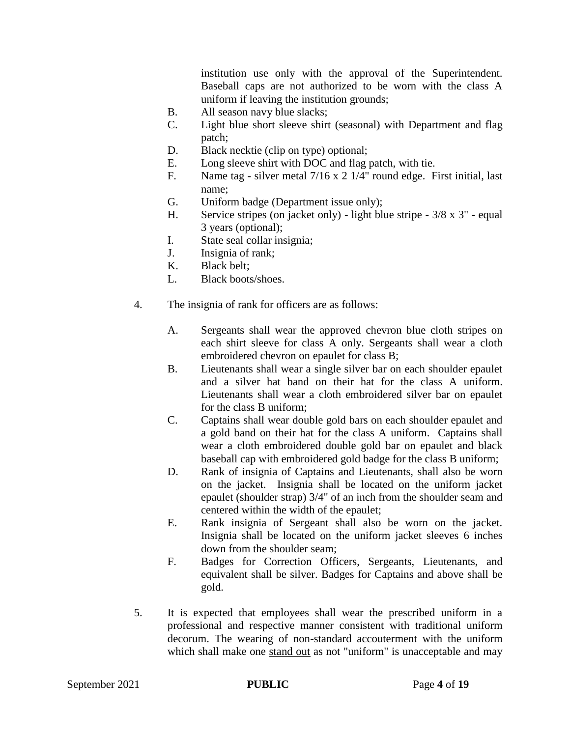institution use only with the approval of the Superintendent. Baseball caps are not authorized to be worn with the class A uniform if leaving the institution grounds;

- B. All season navy blue slacks;
- C. Light blue short sleeve shirt (seasonal) with Department and flag patch;
- D. Black necktie (clip on type) optional;
- E. Long sleeve shirt with DOC and flag patch, with tie.
- F. Name tag silver metal 7/16 x 2 1/4" round edge. First initial, last name;
- G. Uniform badge (Department issue only);
- H. Service stripes (on jacket only) light blue stripe 3/8 x 3" equal 3 years (optional);
- I. State seal collar insignia;
- J. Insignia of rank;
- K. Black belt;
- L. Black boots/shoes.
- 4. The insignia of rank for officers are as follows:
	- A. Sergeants shall wear the approved chevron blue cloth stripes on each shirt sleeve for class A only. Sergeants shall wear a cloth embroidered chevron on epaulet for class B;
	- B. Lieutenants shall wear a single silver bar on each shoulder epaulet and a silver hat band on their hat for the class A uniform. Lieutenants shall wear a cloth embroidered silver bar on epaulet for the class B uniform;
	- C. Captains shall wear double gold bars on each shoulder epaulet and a gold band on their hat for the class A uniform. Captains shall wear a cloth embroidered double gold bar on epaulet and black baseball cap with embroidered gold badge for the class B uniform;
	- D. Rank of insignia of Captains and Lieutenants, shall also be worn on the jacket. Insignia shall be located on the uniform jacket epaulet (shoulder strap) 3/4" of an inch from the shoulder seam and centered within the width of the epaulet;
	- E. Rank insignia of Sergeant shall also be worn on the jacket. Insignia shall be located on the uniform jacket sleeves 6 inches down from the shoulder seam;
	- F. Badges for Correction Officers, Sergeants, Lieutenants, and equivalent shall be silver. Badges for Captains and above shall be gold.
- 5. It is expected that employees shall wear the prescribed uniform in a professional and respective manner consistent with traditional uniform decorum. The wearing of non-standard accouterment with the uniform which shall make one stand out as not "uniform" is unacceptable and may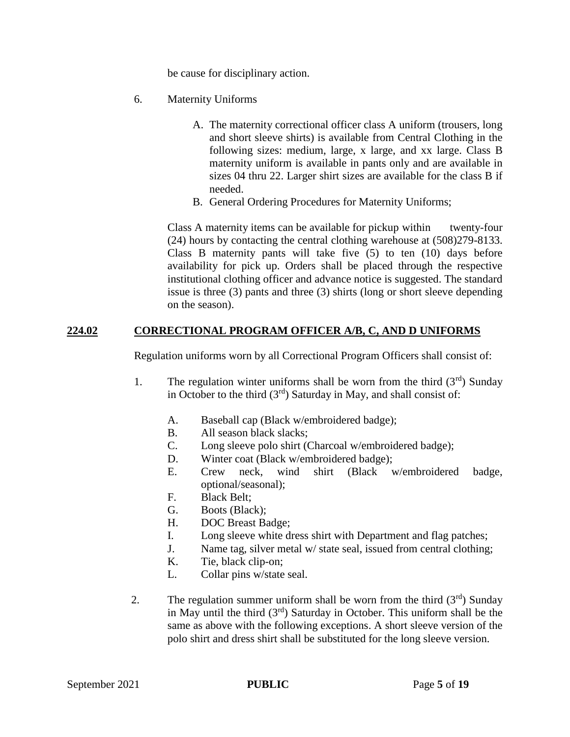be cause for disciplinary action.

- 6. Maternity Uniforms
	- A. The maternity correctional officer class A uniform (trousers, long and short sleeve shirts) is available from Central Clothing in the following sizes: medium, large, x large, and xx large. Class B maternity uniform is available in pants only and are available in sizes 04 thru 22. Larger shirt sizes are available for the class B if needed.
	- B. General Ordering Procedures for Maternity Uniforms;

Class A maternity items can be available for pickup within twenty-four (24) hours by contacting the central clothing warehouse at (508)279-8133. Class B maternity pants will take five (5) to ten (10) days before availability for pick up. Orders shall be placed through the respective institutional clothing officer and advance notice is suggested. The standard issue is three (3) pants and three (3) shirts (long or short sleeve depending on the season).

#### **224.02 CORRECTIONAL PROGRAM OFFICER A/B, C, AND D UNIFORMS**

Regulation uniforms worn by all Correctional Program Officers shall consist of:

- 1. The regulation winter uniforms shall be worn from the third  $(3<sup>rd</sup>)$  Sunday in October to the third  $(3<sup>rd</sup>)$  Saturday in May, and shall consist of:
	- A. Baseball cap (Black w/embroidered badge);
	- B. All season black slacks;
	- C. Long sleeve polo shirt (Charcoal w/embroidered badge);
	- D. Winter coat (Black w/embroidered badge);
	- E. Crew neck, wind shirt (Black w/embroidered badge, optional/seasonal);
	- F. Black Belt;
	- G. Boots (Black);
	- H. DOC Breast Badge;
	- I. Long sleeve white dress shirt with Department and flag patches;
	- J. Name tag, silver metal w/ state seal, issued from central clothing;
	- K. Tie, black clip-on;
	- L. Collar pins w/state seal.
- 2. The regulation summer uniform shall be worn from the third  $(3<sup>rd</sup>)$  Sunday in May until the third  $(3<sup>rd</sup>)$  Saturday in October. This uniform shall be the same as above with the following exceptions. A short sleeve version of the polo shirt and dress shirt shall be substituted for the long sleeve version.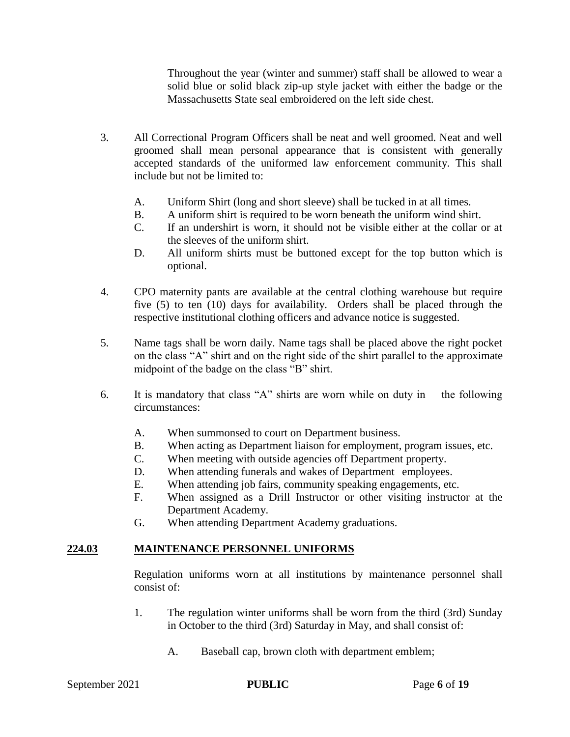Throughout the year (winter and summer) staff shall be allowed to wear a solid blue or solid black zip-up style jacket with either the badge or the Massachusetts State seal embroidered on the left side chest.

- 3. All Correctional Program Officers shall be neat and well groomed. Neat and well groomed shall mean personal appearance that is consistent with generally accepted standards of the uniformed law enforcement community. This shall include but not be limited to:
	- A. Uniform Shirt (long and short sleeve) shall be tucked in at all times.
	- B. A uniform shirt is required to be worn beneath the uniform wind shirt.
	- C. If an undershirt is worn, it should not be visible either at the collar or at the sleeves of the uniform shirt.
	- D. All uniform shirts must be buttoned except for the top button which is optional.
- 4. CPO maternity pants are available at the central clothing warehouse but require five (5) to ten (10) days for availability. Orders shall be placed through the respective institutional clothing officers and advance notice is suggested.
- 5. Name tags shall be worn daily. Name tags shall be placed above the right pocket on the class "A" shirt and on the right side of the shirt parallel to the approximate midpoint of the badge on the class "B" shirt.
- 6. It is mandatory that class "A" shirts are worn while on duty in the following circumstances:
	- A. When summonsed to court on Department business.
	- B. When acting as Department liaison for employment, program issues, etc.
	- C. When meeting with outside agencies off Department property.
	- D. When attending funerals and wakes of Department employees.
	- E. When attending job fairs, community speaking engagements, etc.
	- F. When assigned as a Drill Instructor or other visiting instructor at the Department Academy.
	- G. When attending Department Academy graduations.

#### **224.03 MAINTENANCE PERSONNEL UNIFORMS**

Regulation uniforms worn at all institutions by maintenance personnel shall consist of:

- 1. The regulation winter uniforms shall be worn from the third (3rd) Sunday in October to the third (3rd) Saturday in May, and shall consist of:
	- A. Baseball cap, brown cloth with department emblem;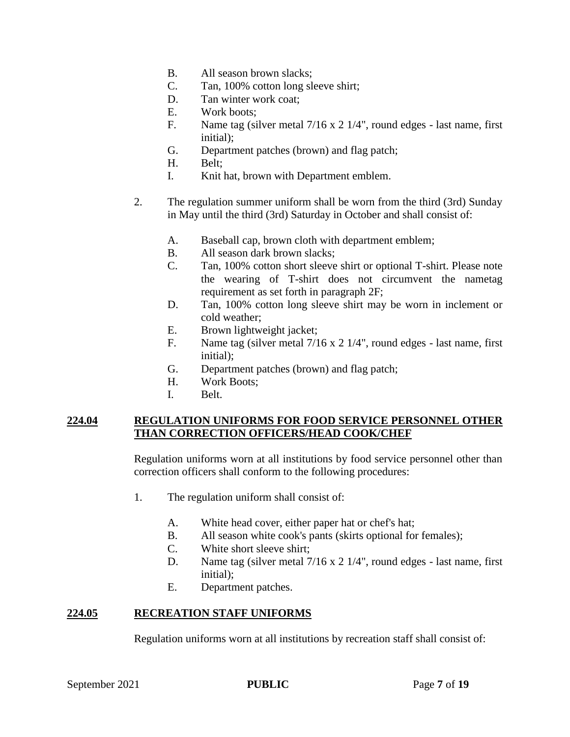- B. All season brown slacks;
- C. Tan, 100% cotton long sleeve shirt;
- D. Tan winter work coat:
- E. Work boots;
- F. Name tag (silver metal 7/16 x 2 1/4", round edges last name, first initial);
- G. Department patches (brown) and flag patch;
- H. Belt;
- I. Knit hat, brown with Department emblem.
- 2. The regulation summer uniform shall be worn from the third (3rd) Sunday in May until the third (3rd) Saturday in October and shall consist of:
	- A. Baseball cap, brown cloth with department emblem;
	- B. All season dark brown slacks;
	- C. Tan, 100% cotton short sleeve shirt or optional T-shirt. Please note the wearing of T-shirt does not circumvent the nametag requirement as set forth in paragraph 2F;
	- D. Tan, 100% cotton long sleeve shirt may be worn in inclement or cold weather;
	- E. Brown lightweight jacket;
	- F. Name tag (silver metal 7/16 x 2 1/4", round edges last name, first initial);
	- G. Department patches (brown) and flag patch;
	- H. Work Boots;
	- I. Belt.

#### **224.04 REGULATION UNIFORMS FOR FOOD SERVICE PERSONNEL OTHER THAN CORRECTION OFFICERS/HEAD COOK/CHEF**

Regulation uniforms worn at all institutions by food service personnel other than correction officers shall conform to the following procedures:

- 1. The regulation uniform shall consist of:
	- A. White head cover, either paper hat or chef's hat;
	- B. All season white cook's pants (skirts optional for females);
	- C. White short sleeve shirt;
	- D. Name tag (silver metal 7/16 x 2 1/4", round edges last name, first initial);
	- E. Department patches.

#### **224.05 RECREATION STAFF UNIFORMS**

Regulation uniforms worn at all institutions by recreation staff shall consist of: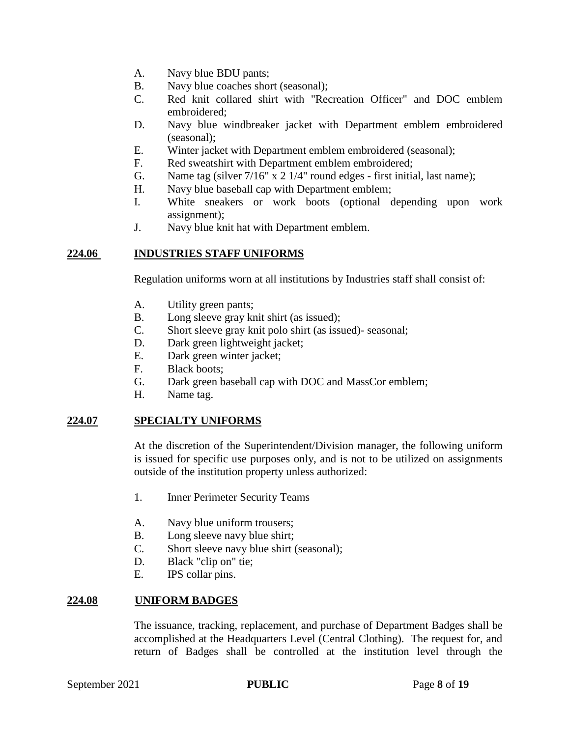- A. Navy blue BDU pants;
- B. Navy blue coaches short (seasonal);
- C. Red knit collared shirt with "Recreation Officer" and DOC emblem embroidered;
- D. Navy blue windbreaker jacket with Department emblem embroidered (seasonal);
- E. Winter jacket with Department emblem embroidered (seasonal);
- F. Red sweatshirt with Department emblem embroidered;
- G. Name tag (silver 7/16" x 2 1/4" round edges first initial, last name);
- H. Navy blue baseball cap with Department emblem;
- I. White sneakers or work boots (optional depending upon work assignment);
- J. Navy blue knit hat with Department emblem.

#### **224.06 INDUSTRIES STAFF UNIFORMS**

Regulation uniforms worn at all institutions by Industries staff shall consist of:

- A. Utility green pants;
- B. Long sleeve gray knit shirt (as issued);
- C. Short sleeve gray knit polo shirt (as issued)- seasonal;
- D. Dark green lightweight jacket;
- E. Dark green winter jacket;
- F. Black boots;
- G. Dark green baseball cap with DOC and MassCor emblem;
- H. Name tag.

#### **224.07 SPECIALTY UNIFORMS**

At the discretion of the Superintendent/Division manager, the following uniform is issued for specific use purposes only, and is not to be utilized on assignments outside of the institution property unless authorized:

- 1. Inner Perimeter Security Teams
- A. Navy blue uniform trousers;
- B. Long sleeve navy blue shirt;
- C. Short sleeve navy blue shirt (seasonal);
- D. Black "clip on" tie;
- E. IPS collar pins.

#### **224.08 UNIFORM BADGES**

The issuance, tracking, replacement, and purchase of Department Badges shall be accomplished at the Headquarters Level (Central Clothing). The request for, and return of Badges shall be controlled at the institution level through the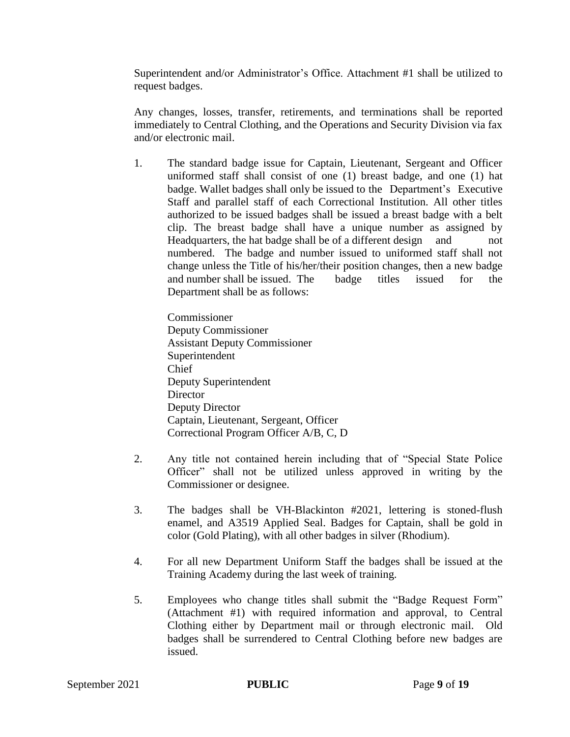Superintendent and/or Administrator's Office. Attachment #1 shall be utilized to request badges.

Any changes, losses, transfer, retirements, and terminations shall be reported immediately to Central Clothing, and the Operations and Security Division via fax and/or electronic mail.

1. The standard badge issue for Captain, Lieutenant, Sergeant and Officer uniformed staff shall consist of one (1) breast badge, and one (1) hat badge. Wallet badges shall only be issued to the Department's Executive Staff and parallel staff of each Correctional Institution. All other titles authorized to be issued badges shall be issued a breast badge with a belt clip. The breast badge shall have a unique number as assigned by Headquarters, the hat badge shall be of a different design and not numbered. The badge and number issued to uniformed staff shall not change unless the Title of his/her/their position changes, then a new badge and number shall be issued. The badge titles issued for the Department shall be as follows:

Commissioner Deputy Commissioner Assistant Deputy Commissioner Superintendent Chief Deputy Superintendent **Director** Deputy Director Captain, Lieutenant, Sergeant, Officer Correctional Program Officer A/B, C, D

- 2. Any title not contained herein including that of "Special State Police Officer" shall not be utilized unless approved in writing by the Commissioner or designee.
- 3. The badges shall be VH-Blackinton #2021, lettering is stoned-flush enamel, and A3519 Applied Seal. Badges for Captain, shall be gold in color (Gold Plating), with all other badges in silver (Rhodium).
- 4. For all new Department Uniform Staff the badges shall be issued at the Training Academy during the last week of training.
- 5. Employees who change titles shall submit the "Badge Request Form" (Attachment #1) with required information and approval, to Central Clothing either by Department mail or through electronic mail. Old badges shall be surrendered to Central Clothing before new badges are issued.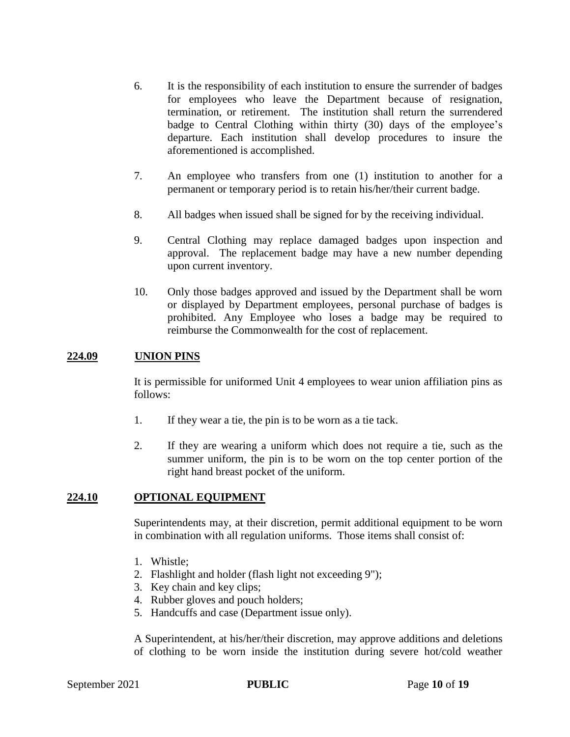- 6. It is the responsibility of each institution to ensure the surrender of badges for employees who leave the Department because of resignation, termination, or retirement. The institution shall return the surrendered badge to Central Clothing within thirty (30) days of the employee's departure. Each institution shall develop procedures to insure the aforementioned is accomplished.
- 7. An employee who transfers from one (1) institution to another for a permanent or temporary period is to retain his/her/their current badge.
- 8. All badges when issued shall be signed for by the receiving individual.
- 9. Central Clothing may replace damaged badges upon inspection and approval. The replacement badge may have a new number depending upon current inventory.
- 10. Only those badges approved and issued by the Department shall be worn or displayed by Department employees, personal purchase of badges is prohibited. Any Employee who loses a badge may be required to reimburse the Commonwealth for the cost of replacement.

#### **224.09 UNION PINS**

It is permissible for uniformed Unit 4 employees to wear union affiliation pins as follows:

- 1. If they wear a tie, the pin is to be worn as a tie tack.
- 2. If they are wearing a uniform which does not require a tie, such as the summer uniform, the pin is to be worn on the top center portion of the right hand breast pocket of the uniform.

#### **224.10 OPTIONAL EQUIPMENT**

Superintendents may, at their discretion, permit additional equipment to be worn in combination with all regulation uniforms. Those items shall consist of:

- 1. Whistle;
- 2. Flashlight and holder (flash light not exceeding 9");
- 3. Key chain and key clips;
- 4. Rubber gloves and pouch holders;
- 5. Handcuffs and case (Department issue only).

A Superintendent, at his/her/their discretion, may approve additions and deletions of clothing to be worn inside the institution during severe hot/cold weather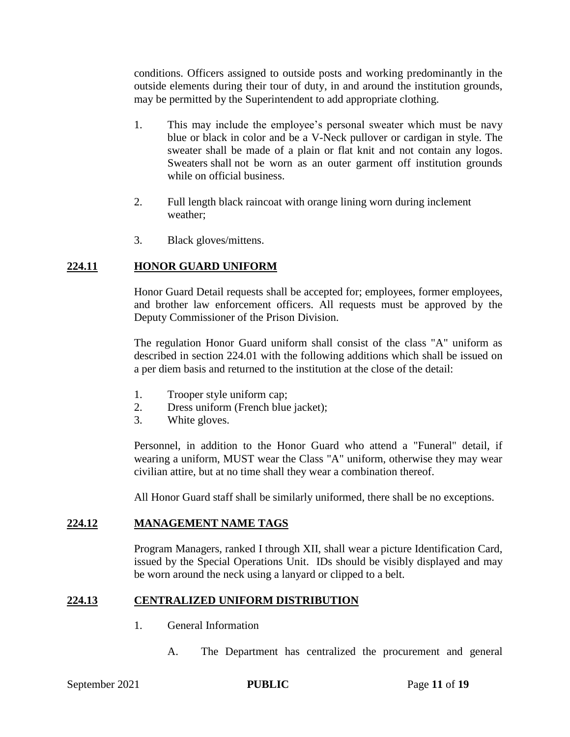conditions. Officers assigned to outside posts and working predominantly in the outside elements during their tour of duty, in and around the institution grounds, may be permitted by the Superintendent to add appropriate clothing.

- 1. This may include the employee's personal sweater which must be navy blue or black in color and be a V-Neck pullover or cardigan in style. The sweater shall be made of a plain or flat knit and not contain any logos. Sweaters shall not be worn as an outer garment off institution grounds while on official business.
- 2. Full length black raincoat with orange lining worn during inclement weather;
- 3. Black gloves/mittens.

#### **224.11 HONOR GUARD UNIFORM**

Honor Guard Detail requests shall be accepted for; employees, former employees, and brother law enforcement officers. All requests must be approved by the Deputy Commissioner of the Prison Division.

The regulation Honor Guard uniform shall consist of the class "A" uniform as described in section 224.01 with the following additions which shall be issued on a per diem basis and returned to the institution at the close of the detail:

- 1. Trooper style uniform cap;
- 2. Dress uniform (French blue jacket);
- 3. White gloves.

Personnel, in addition to the Honor Guard who attend a "Funeral" detail, if wearing a uniform, MUST wear the Class "A" uniform, otherwise they may wear civilian attire, but at no time shall they wear a combination thereof.

All Honor Guard staff shall be similarly uniformed, there shall be no exceptions.

#### **224.12 MANAGEMENT NAME TAGS**

Program Managers, ranked I through XII, shall wear a picture Identification Card, issued by the Special Operations Unit. IDs should be visibly displayed and may be worn around the neck using a lanyard or clipped to a belt.

#### **224.13 CENTRALIZED UNIFORM DISTRIBUTION**

- 1. General Information
	- A. The Department has centralized the procurement and general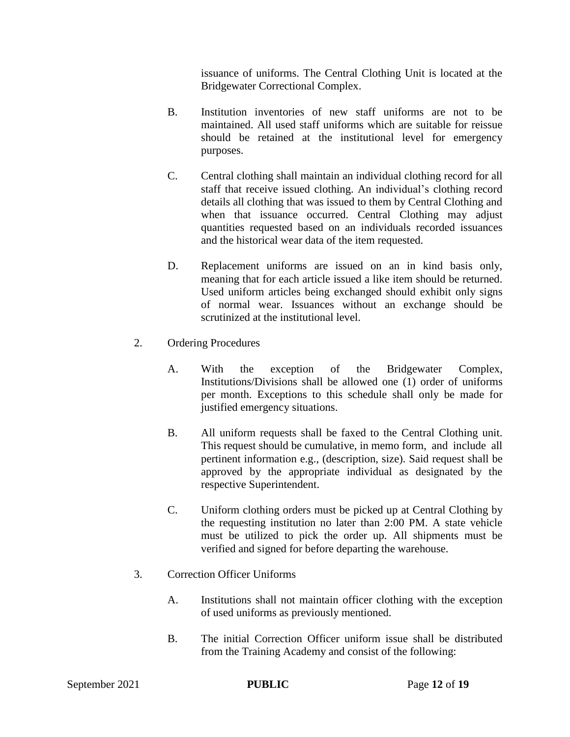issuance of uniforms. The Central Clothing Unit is located at the Bridgewater Correctional Complex.

- B. Institution inventories of new staff uniforms are not to be maintained. All used staff uniforms which are suitable for reissue should be retained at the institutional level for emergency purposes.
- C. Central clothing shall maintain an individual clothing record for all staff that receive issued clothing. An individual's clothing record details all clothing that was issued to them by Central Clothing and when that issuance occurred. Central Clothing may adjust quantities requested based on an individuals recorded issuances and the historical wear data of the item requested.
- D. Replacement uniforms are issued on an in kind basis only, meaning that for each article issued a like item should be returned. Used uniform articles being exchanged should exhibit only signs of normal wear. Issuances without an exchange should be scrutinized at the institutional level.
- 2. Ordering Procedures
	- A. With the exception of the Bridgewater Complex, Institutions/Divisions shall be allowed one (1) order of uniforms per month. Exceptions to this schedule shall only be made for justified emergency situations.
	- B. All uniform requests shall be faxed to the Central Clothing unit. This request should be cumulative, in memo form, and include all pertinent information e.g., (description, size). Said request shall be approved by the appropriate individual as designated by the respective Superintendent.
	- C. Uniform clothing orders must be picked up at Central Clothing by the requesting institution no later than 2:00 PM. A state vehicle must be utilized to pick the order up. All shipments must be verified and signed for before departing the warehouse.
- 3. Correction Officer Uniforms
	- A. Institutions shall not maintain officer clothing with the exception of used uniforms as previously mentioned.
	- B. The initial Correction Officer uniform issue shall be distributed from the Training Academy and consist of the following: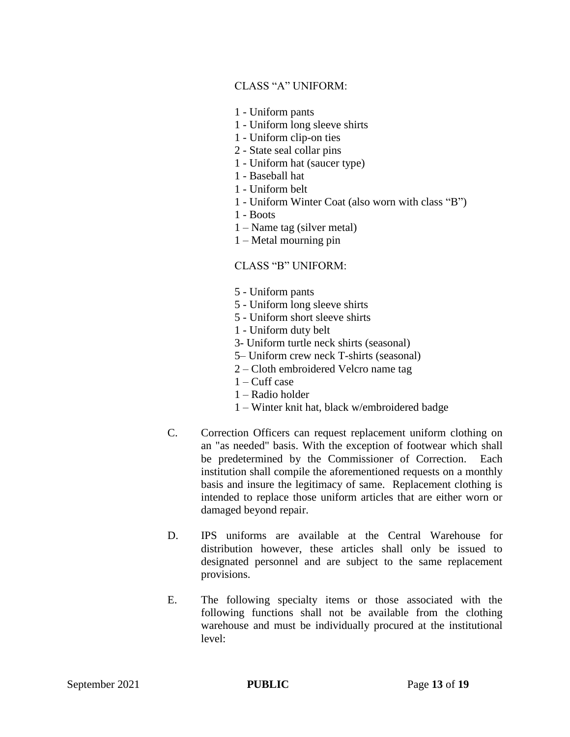#### CLASS "A" UNIFORM:

- 1 Uniform pants
- 1 Uniform long sleeve shirts
- 1 Uniform clip-on ties
- 2 State seal collar pins
- 1 Uniform hat (saucer type)
- 1 Baseball hat
- 1 Uniform belt
- 1 Uniform Winter Coat (also worn with class "B")
- 1 Boots
- 1 Name tag (silver metal)
- 1 Metal mourning pin

#### CLASS "B" UNIFORM:

- 5 Uniform pants
- 5 Uniform long sleeve shirts
- 5 Uniform short sleeve shirts
- 1 Uniform duty belt
- 3- Uniform turtle neck shirts (seasonal)
- 5– Uniform crew neck T-shirts (seasonal)
- 2 Cloth embroidered Velcro name tag
- $1 -$ Cuff case
- 1 Radio holder
- 1 Winter knit hat, black w/embroidered badge
- C. Correction Officers can request replacement uniform clothing on an "as needed" basis. With the exception of footwear which shall be predetermined by the Commissioner of Correction. Each institution shall compile the aforementioned requests on a monthly basis and insure the legitimacy of same. Replacement clothing is intended to replace those uniform articles that are either worn or damaged beyond repair.
- D. IPS uniforms are available at the Central Warehouse for distribution however, these articles shall only be issued to designated personnel and are subject to the same replacement provisions.
- E. The following specialty items or those associated with the following functions shall not be available from the clothing warehouse and must be individually procured at the institutional level: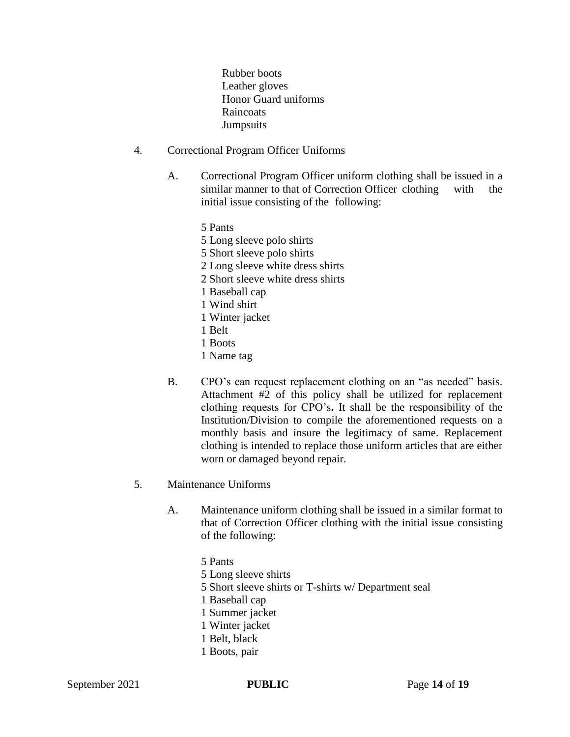Rubber boots Leather gloves Honor Guard uniforms **Raincoats Jumpsuits** 

- 4. Correctional Program Officer Uniforms
	- A. Correctional Program Officer uniform clothing shall be issued in a similar manner to that of Correction Officer clothing with the initial issue consisting of the following:
		- 5 Pants
		- 5 Long sleeve polo shirts
		- 5 Short sleeve polo shirts
		- 2 Long sleeve white dress shirts
		- 2 Short sleeve white dress shirts
		- 1 Baseball cap
		- 1 Wind shirt
		- 1 Winter jacket
		- 1 Belt
		- 1 Boots
		- 1 Name tag
	- B. CPO's can request replacement clothing on an "as needed" basis. Attachment #2 of this policy shall be utilized for replacement clothing requests for CPO's**.** It shall be the responsibility of the Institution/Division to compile the aforementioned requests on a monthly basis and insure the legitimacy of same. Replacement clothing is intended to replace those uniform articles that are either worn or damaged beyond repair.
- 5. Maintenance Uniforms
	- A. Maintenance uniform clothing shall be issued in a similar format to that of Correction Officer clothing with the initial issue consisting of the following:
		- 5 Pants 5 Long sleeve shirts 5 Short sleeve shirts or T-shirts w/ Department seal 1 Baseball cap 1 Summer jacket 1 Winter jacket 1 Belt, black 1 Boots, pair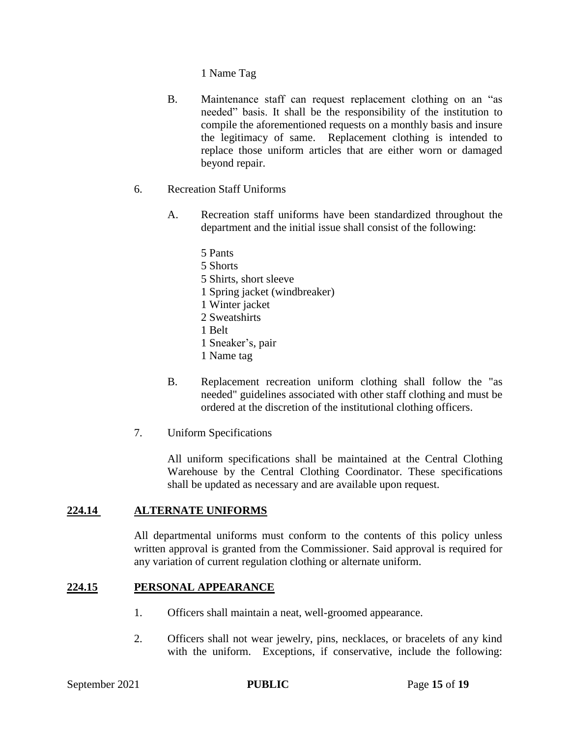1 Name Tag

- B. Maintenance staff can request replacement clothing on an "as needed" basis. It shall be the responsibility of the institution to compile the aforementioned requests on a monthly basis and insure the legitimacy of same. Replacement clothing is intended to replace those uniform articles that are either worn or damaged beyond repair.
- 6. Recreation Staff Uniforms
	- A. Recreation staff uniforms have been standardized throughout the department and the initial issue shall consist of the following:
		- 5 Pants 5 Shorts 5 Shirts, short sleeve 1 Spring jacket (windbreaker) 1 Winter jacket 2 Sweatshirts 1 Belt 1 Sneaker's, pair 1 Name tag
	- B. Replacement recreation uniform clothing shall follow the "as needed" guidelines associated with other staff clothing and must be ordered at the discretion of the institutional clothing officers.
- 7. Uniform Specifications

All uniform specifications shall be maintained at the Central Clothing Warehouse by the Central Clothing Coordinator. These specifications shall be updated as necessary and are available upon request.

#### **224.14 ALTERNATE UNIFORMS**

All departmental uniforms must conform to the contents of this policy unless written approval is granted from the Commissioner. Said approval is required for any variation of current regulation clothing or alternate uniform.

#### **224.15 PERSONAL APPEARANCE**

- 1. Officers shall maintain a neat, well-groomed appearance.
- 2. Officers shall not wear jewelry, pins, necklaces, or bracelets of any kind with the uniform. Exceptions, if conservative, include the following: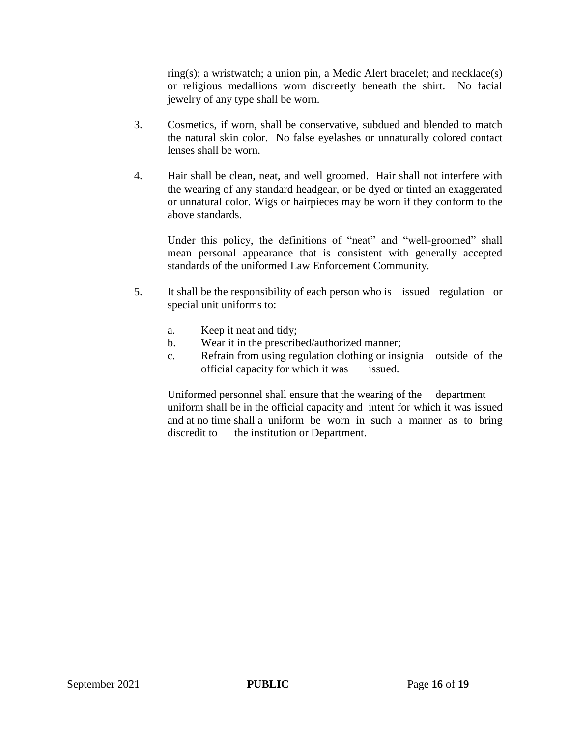ring(s); a wristwatch; a union pin, a Medic Alert bracelet; and necklace(s) or religious medallions worn discreetly beneath the shirt. No facial jewelry of any type shall be worn.

- 3. Cosmetics, if worn, shall be conservative, subdued and blended to match the natural skin color. No false eyelashes or unnaturally colored contact lenses shall be worn.
- 4. Hair shall be clean, neat, and well groomed. Hair shall not interfere with the wearing of any standard headgear, or be dyed or tinted an exaggerated or unnatural color. Wigs or hairpieces may be worn if they conform to the above standards.

Under this policy, the definitions of "neat" and "well-groomed" shall mean personal appearance that is consistent with generally accepted standards of the uniformed Law Enforcement Community.

- 5. It shall be the responsibility of each person who is issued regulation or special unit uniforms to:
	- a. Keep it neat and tidy;
	- b. Wear it in the prescribed/authorized manner;
	- c. Refrain from using regulation clothing or insignia outside of the official capacity for which it was issued.

Uniformed personnel shall ensure that the wearing of the department uniform shall be in the official capacity and intent for which it was issued and at no time shall a uniform be worn in such a manner as to bring discredit to the institution or Department.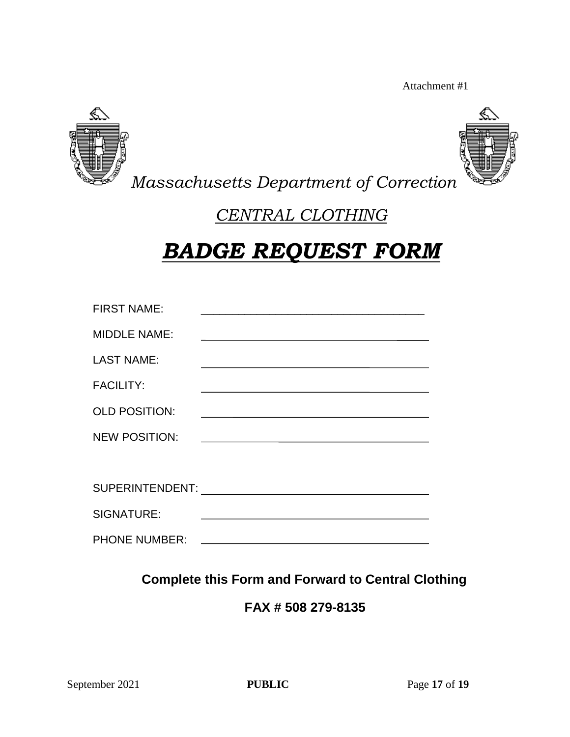Attachment #1





*Massachusetts Department of Correction*

## *CENTRAL CLOTHING*

# *BADGE REQUEST FORM*

| <b>FIRST NAME:</b>   | <u> 1989 - Johann Stein, mars an deutscher Stein und der Stein und der Stein und der Stein und der Stein und der</u>  |
|----------------------|-----------------------------------------------------------------------------------------------------------------------|
| <b>MIDDLE NAME:</b>  |                                                                                                                       |
| <b>LAST NAME:</b>    |                                                                                                                       |
| <b>FACILITY:</b>     |                                                                                                                       |
| <b>OLD POSITION:</b> | <u> 1989 - Johann Harry Barn, mars ar breist fan de Amerikaansk kommunent fan de Amerikaanske kommunent fan de A</u>  |
| <b>NEW POSITION:</b> | <u> 1989 - Johann Barn, mars and de Branch Barn, mars and de Branch Barn, mars and de Branch Barn, mars and de Br</u> |
|                      |                                                                                                                       |
| SUPERINTENDENT:      |                                                                                                                       |
| SIGNATURE:           |                                                                                                                       |
| <b>PHONE NUMBER:</b> | <u> 1989 - Johann Barbara, martxa alemaniar a</u>                                                                     |

**Complete this Form and Forward to Central Clothing**

**FAX # 508 279-8135**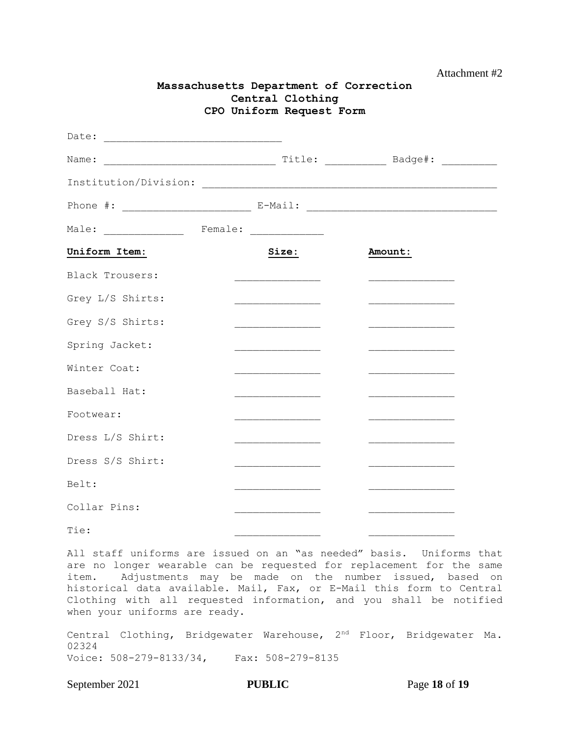|                                                                                   |  | CPO Uniform Request Form                                                                                            |         |                                                                                                                        |
|-----------------------------------------------------------------------------------|--|---------------------------------------------------------------------------------------------------------------------|---------|------------------------------------------------------------------------------------------------------------------------|
| Date:                                                                             |  |                                                                                                                     |         |                                                                                                                        |
| Name:                                                                             |  |                                                                                                                     |         |                                                                                                                        |
|                                                                                   |  |                                                                                                                     |         |                                                                                                                        |
| Phone #: _____________________________ E-Mail: __________________________________ |  |                                                                                                                     |         |                                                                                                                        |
| Male: _______________ Female: _____________                                       |  |                                                                                                                     |         |                                                                                                                        |
| Uniform Item:                                                                     |  | Size:                                                                                                               | Amount: |                                                                                                                        |
| Black Trousers:                                                                   |  |                                                                                                                     |         | <u> 1989 - Johann John Harry Harry Harry Harry Harry Harry Harry Harry Harry Harry Harry Harry Harry Harry Harry H</u> |
| Grey L/S Shirts:                                                                  |  | <u> 1989 - Johann John Stone, markin samti samti samti samti samti samti samti samti samti samti samti samti sa</u> |         | <u> 1990 - Johann John Stone, markin s</u>                                                                             |
| Grey S/S Shirts:                                                                  |  |                                                                                                                     |         |                                                                                                                        |
| Spring Jacket:                                                                    |  | <u> 1980 - Johann Barbara, martin a</u>                                                                             |         | <u> 1990 - Johann John Stone, markin s</u>                                                                             |
| Winter Coat:                                                                      |  |                                                                                                                     |         |                                                                                                                        |
| Baseball Hat:                                                                     |  | ______________________________                                                                                      |         |                                                                                                                        |
| Footwear:                                                                         |  | <u> 1989 - Johann Barbara, martin a</u>                                                                             |         | <u> 1989 - Johann Barbara, martin a</u>                                                                                |
| Dress L/S Shirt:                                                                  |  |                                                                                                                     |         |                                                                                                                        |
| Dress S/S Shirt:                                                                  |  |                                                                                                                     |         |                                                                                                                        |
| Belt:                                                                             |  |                                                                                                                     |         |                                                                                                                        |
| Collar Pins:                                                                      |  |                                                                                                                     |         |                                                                                                                        |

**Massachusetts Department of Correction Central Clothing**

All staff uniforms are issued on an "as needed" basis. Uniforms that are no longer wearable can be requested for replacement for the same item. Adjustments may be made on the number issued, based on historical data available. Mail, Fax, or E-Mail this form to Central Clothing with all requested information, and you shall be notified when your uniforms are ready.

Tie:

Central Clothing, Bridgewater Warehouse, 2nd Floor, Bridgewater Ma. 02324 Voice: 508-279-8133/34, Fax: 508-279-8135

September 2021 **PUBLIC** Page 18 of 19